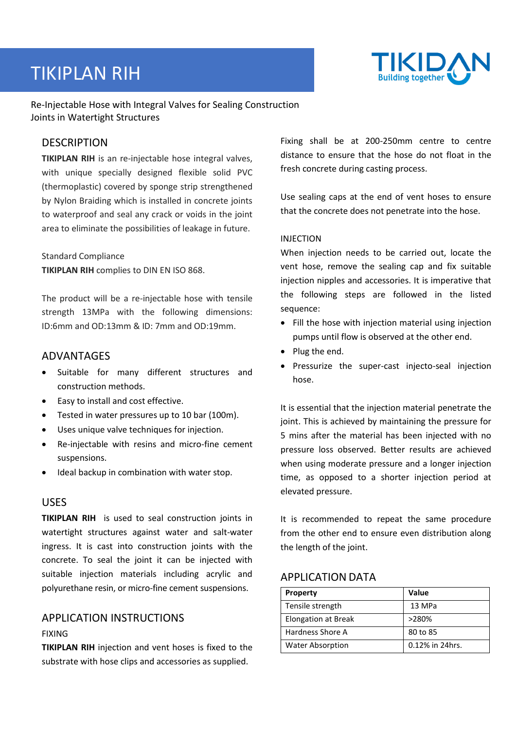# TIKIPLAN RIH



Re-Injectable Hose with Integral Valves for Sealing Construction Joints in Watertight Structures

# **DESCRIPTION**

**TIKIPLAN RIH** is an re-injectable hose integral valves, with unique specially designed flexible solid PVC (thermoplastic) covered by sponge strip strengthened by Nylon Braiding which is installed in concrete joints to waterproof and seal any crack or voids in the joint area to eliminate the possibilities of leakage in future.

#### Standard Compliance **TIKIPLAN RIH** complies to DIN EN ISO 868.

The product will be a re-injectable hose with tensile strength 13MPa with the following dimensions: ID:6mm and OD:13mm & ID: 7mm and OD:19mm.

# ADVANTAGES

- Suitable for many different structures and construction methods.
- Easy to install and cost effective.
- Tested in water pressures up to 10 bar (100m).
- Uses unique valve techniques for injection.
- Re-injectable with resins and micro-fine cement suspensions.
- Ideal backup in combination with water stop.

#### USES

**TIKIPLAN RIH** is used to seal construction joints in watertight structures against water and salt-water ingress. It is cast into construction joints with the concrete. To seal the joint it can be injected with suitable injection materials including acrylic and polyurethane resin, or micro-fine cement suspensions.

# APPLICATION INSTRUCTIONS

#### FIXING

**TIKIPLAN RIH** injection and vent hoses is fixed to the substrate with hose clips and accessories as supplied.

Fixing shall be at 200-250mm centre to centre distance to ensure that the hose do not float in the fresh concrete during casting process.

Use sealing caps at the end of vent hoses to ensure that the concrete does not penetrate into the hose.

#### INJECTION

When injection needs to be carried out, locate the vent hose, remove the sealing cap and fix suitable injection nipples and accessories. It is imperative that the following steps are followed in the listed sequence:

- Fill the hose with injection material using injection pumps until flow is observed at the other end.
- Plug the end.
- Pressurize the super-cast injecto-seal injection hose.

It is essential that the injection material penetrate the joint. This is achieved by maintaining the pressure for 5 mins after the material has been injected with no pressure loss observed. Better results are achieved when using moderate pressure and a longer injection time, as opposed to a shorter injection period at elevated pressure.

It is recommended to repeat the same procedure from the other end to ensure even distribution along the length of the joint.

#### **APPLICATION DATA**

| <b>Property</b>         | <b>Value</b>    |
|-------------------------|-----------------|
| Tensile strength        | 13 MPa          |
| Elongation at Break     | >280%           |
| Hardness Shore A        | 80 to 85        |
| <b>Water Absorption</b> | 0.12% in 24hrs. |